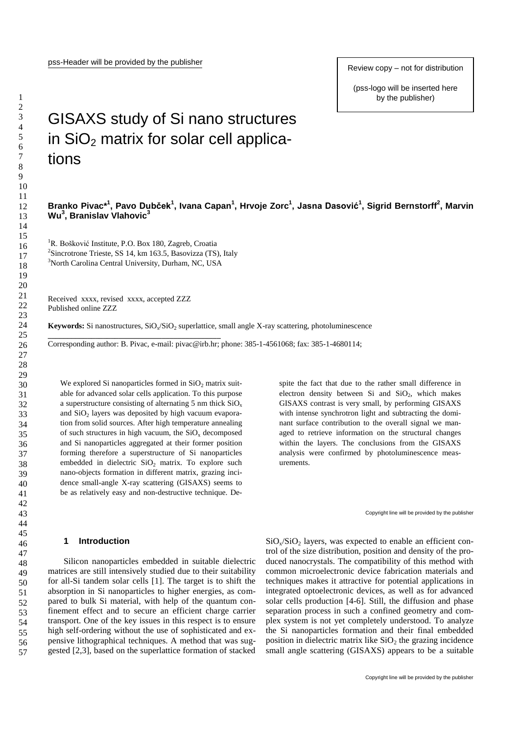Review copy – not for distribution

(pss-logo will be inserted here by the publisher)

# GISAXS study of Si nano structures in  $SiO<sub>2</sub>$  matrix for solar cell applications

## Branko Pivac\*<sup>1</sup>, Pavo Dubček<sup>1</sup>, Ivana Capan<sup>1</sup>, Hrvoje Zorc<sup>1</sup>, Jasna Dasović<sup>1</sup>, Sigrid Bernstorff<sup>2</sup>, Marvin **Wu<sup>3</sup> , Branislav Vlahovic<sup>3</sup>**

<sup>1</sup>R. Bošković Institute, P.O. Box 180, Zagreb, Croatia <sup>2</sup>Sincrotrone Trieste, SS 14, km 163.5, Basovizza (TS), Italy <sup>3</sup>North Carolina Central University, Durham, NC, USA

Received xxxx, revised xxxx, accepted ZZZ Published online ZZZ

**\_\_\_\_\_\_\_\_\_\_\_\_\_\_\_\_\_\_\_\_\_\_\_\_\_\_\_\_\_\_\_\_\_\_\_\_\_\_\_\_\_\_\_\_**

**Keywords:** Si nanostructures, SiO<sub>x</sub>/SiO<sub>2</sub> superlattice, small angle X-ray scattering, photoluminescence

Corresponding author: B. Pivac, e-mail: pivac@irb.hr; phone: 385-1-4561068; fax: 385-1-4680114;

We explored Si nanoparticles formed in  $SiO<sub>2</sub>$  matrix suitable for advanced solar cells application. To this purpose a superstructure consisting of alternating 5 nm thick  $SiO<sub>x</sub>$ and SiO<sub>2</sub> layers was deposited by high vacuum evaporation from solid sources. After high temperature annealing of such structures in high vacuum, the  $SiO<sub>x</sub>$  decomposed and Si nanoparticles aggregated at their former position forming therefore a superstructure of Si nanoparticles embedded in dielectric  $SiO<sub>2</sub>$  matrix. To explore such nano-objects formation in different matrix, grazing incidence small-angle X-ray scattering (GISAXS) seems to be as relatively easy and non-destructive technique. De-

## **1 Introduction**

Silicon nanoparticles embedded in suitable dielectric matrices are still intensively studied due to their suitability for all-Si tandem solar cells [1]. The target is to shift the absorption in Si nanoparticles to higher energies, as compared to bulk Si material, with help of the quantum confinement effect and to secure an efficient charge carrier transport. One of the key issues in this respect is to ensure high self-ordering without the use of sophisticated and expensive lithographical techniques. A method that was suggested [2,3], based on the superlattice formation of stacked spite the fact that due to the rather small difference in electron density between Si and  $SiO<sub>2</sub>$ , which makes GISAXS contrast is very small, by performing GISAXS with intense synchrotron light and subtracting the dominant surface contribution to the overall signal we managed to retrieve information on the structural changes within the layers. The conclusions from the GISAXS analysis were confirmed by photoluminescence measurements.

Copyright line will be provided by the publisher

 $SiO<sub>x</sub>/SiO<sub>2</sub>$  layers, was expected to enable an efficient control of the size distribution, position and density of the produced nanocrystals. The compatibility of this method with common microelectronic device fabrication materials and techniques makes it attractive for potential applications in integrated optoelectronic devices, as well as for advanced solar cells production [4-6]. Still, the diffusion and phase separation process in such a confined geometry and complex system is not yet completely understood. To analyze the Si nanoparticles formation and their final embedded position in dielectric matrix like  $SiO<sub>2</sub>$  the grazing incidence small angle scattering (GISAXS) appears to be a suitable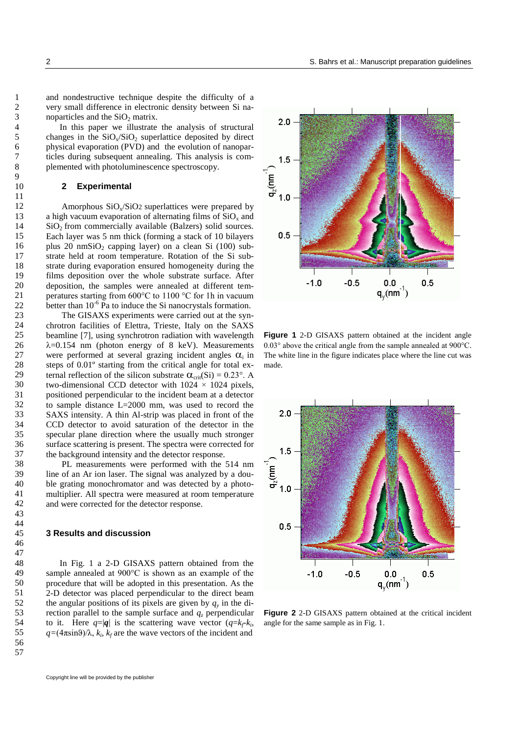and nondestructive technique despite the difficulty of a very small difference in electronic density between Si nanoparticles and the  $SiO<sub>2</sub>$  matrix.

In this paper we illustrate the analysis of structural changes in the  $SiO<sub>x</sub>/SiO<sub>2</sub>$  superlattice deposited by direct physical evaporation (PVD) and the evolution of nanoparticles during subsequent annealing. This analysis is complemented with photoluminescence spectroscopy.

## **2 Experimental**

Amorphous  $SiO<sub>x</sub>/SiO<sub>2</sub>$  superlattices were prepared by a high vacuum evaporation of alternating films of  $SiO<sub>x</sub>$  and  $SiO<sub>2</sub>$  from commercially available (Balzers) solid sources. Each layer was 5 nm thick (forming a stack of 10 bilayers plus 20 nmSiO<sub>2</sub> capping layer) on a clean Si  $(100)$  substrate held at room temperature. Rotation of the Si substrate during evaporation ensured homogeneity during the films deposition over the whole substrate surface. After deposition, the samples were annealed at different temperatures starting from 600°C to 1100 °C for 1h in vacuum better than  $10^{-6}$  Pa to induce the Si nanocrystals formation.

The GISAXS experiments were carried out at the synchrotron facilities of Elettra, Trieste, Italy on the SAXS beamline [7], using synchrotron radiation with wavelength  $\lambda$ =0.154 nm (photon energy of 8 keV). Measurements were performed at several grazing incident angles  $\alpha_i$  in steps of 0.01º starting from the critical angle for total external reflection of the silicon substrate  $\alpha_{\rm crit}(Si) = 0.23^{\circ}$ . A two-dimensional CCD detector with  $1024 \times 1024$  pixels, positioned perpendicular to the incident beam at a detector to sample distance L=2000 mm, was used to record the SAXS intensity. A thin Al-strip was placed in front of the CCD detector to avoid saturation of the detector in the specular plane direction where the usually much stronger surface scattering is present. The spectra were corrected for the background intensity and the detector response.

PL measurements were performed with the 514 nm line of an Ar ion laser. The signal was analyzed by a double grating monochromator and was detected by a photomultiplier. All spectra were measured at room temperature and were corrected for the detector response.

### **3 Results and discussion**

In Fig. 1 a 2-D GISAXS pattern obtained from the sample annealed at 900°C is shown as an example of the procedure that will be adopted in this presentation. As the 2-D detector was placed perpendicular to the direct beam the angular positions of its pixels are given by  $q_y$  in the direction parallel to the sample surface and  $q<sub>z</sub>$  perpendicular to it. Here  $q=|q|$  is the scattering wave vector  $(q=k_f-k_i)$  $q=(4\pi\sin\theta)/\lambda$ ,  $k_i$ ,  $k_f$  are the wave vectors of the incident and



**Figure 1** 2-D GISAXS pattern obtained at the incident angle 0.03° above the critical angle from the sample annealed at 900°C. The white line in the figure indicates place where the line cut was made.



**Figure 2** 2-D GISAXS pattern obtained at the critical incident angle for the same sample as in Fig. 1.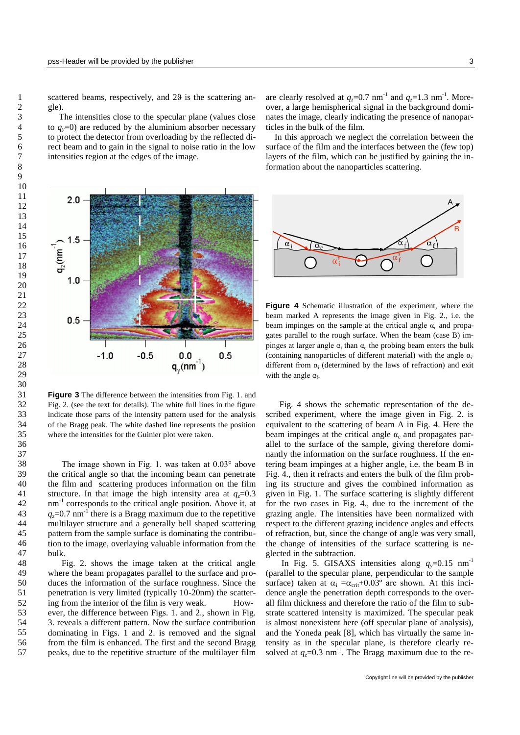scattered beams, respectively, and  $29$  is the scattering angle)

 The intensities close to the specular plane (values close to  $q_y=0$ ) are reduced by the aluminium absorber necessary to protect the detector from overloading by the reflected direct beam and to gain in the signal to noise ratio in the low intensities region at the edges of the image.

 $2.0 1.5$  $\mathbf{q}_z$ (nm $^{-1}$  $1.0$  $0.5$  $-0.5$  $0.5$  $-1.0$  $0.0$  $q_v(nm^{-1})$ 

**Figure 3** The difference between the intensities from Fig. 1. and Fig. 2. (see the text for details). The white full lines in the figure indicate those parts of the intensity pattern used for the analysis of the Bragg peak. The white dashed line represents the position where the intensities for the Guinier plot were taken.

The image shown in Fig. 1. was taken at 0.03° above the critical angle so that the incoming beam can penetrate the film and scattering produces information on the film structure. In that image the high intensity area at  $q_z$ =0.3 nm<sup>-1</sup> corresponds to the critical angle position. Above it, at  $q_z$ =0.7 nm<sup>-1</sup> there is a Bragg maximum due to the repetitive multilayer structure and a generally bell shaped scattering pattern from the sample surface is dominating the contribution to the image, overlaying valuable information from the bulk.

Fig. 2. shows the image taken at the critical angle where the beam propagates parallel to the surface and produces the information of the surface roughness. Since the penetration is very limited (typically 10-20nm) the scattering from the interior of the film is very weak. However, the difference between Figs. 1. and 2., shown in Fig. 3. reveals a different pattern. Now the surface contribution dominating in Figs. 1 and 2. is removed and the signal from the film is enhanced. The first and the second Bragg peaks, due to the repetitive structure of the multilayer film

are clearly resolved at  $q_z$ =0.7 nm<sup>-1</sup> and  $q_z$ =1.3 nm<sup>-1</sup>. Moreover, a large hemispherical signal in the background dominates the image, clearly indicating the presence of nanoparticles in the bulk of the film.

 In this approach we neglect the correlation between the surface of the film and the interfaces between the (few top) layers of the film, which can be justified by gaining the information about the nanoparticles scattering.



**Figure 4** Schematic illustration of the experiment, where the beam marked A represents the image given in Fig. 2., i.e. the beam impinges on the sample at the critical angle  $\alpha_c$  and propagates parallel to the rough surface. When the beam (case B) impinges at larger angle  $\alpha_i$  than  $\alpha_c$  the probing beam enters the bulk (containing nanoparticles of different material) with the angle  $\alpha_i$ different from  $\alpha_i$  (determined by the laws of refraction) and exit with the angle  $\alpha_f$ .

Fig. 4 shows the schematic representation of the described experiment, where the image given in Fig. 2. is equivalent to the scattering of beam A in Fig. 4. Here the beam impinges at the critical angle  $\alpha_c$  and propagates parallel to the surface of the sample, giving therefore dominantly the information on the surface roughness. If the entering beam impinges at a higher angle, i.e. the beam B in Fig. 4., then it refracts and enters the bulk of the film probing its structure and gives the combined information as given in Fig. 1. The surface scattering is slightly different for the two cases in Fig. 4., due to the increment of the grazing angle. The intensities have been normalized with respect to the different grazing incidence angles and effects of refraction, but, since the change of angle was very small, the change of intensities of the surface scattering is neglected in the subtraction.

In Fig. 5. GISAXS intensities along  $q_v=0.15$  nm<sup>-1</sup> (parallel to the specular plane, perpendicular to the sample surface) taken at  $\alpha_i = \alpha_{\rm crit} + 0.03^\circ$  are shown. At this incidence angle the penetration depth corresponds to the overall film thickness and therefore the ratio of the film to substrate scattered intensity is maximized. The specular peak is almost nonexistent here (off specular plane of analysis), and the Yoneda peak [8], which has virtually the same intensity as in the specular plane, is therefore clearly resolved at  $q_z$ =0.3 nm<sup>-1</sup>. The Bragg maximum due to the re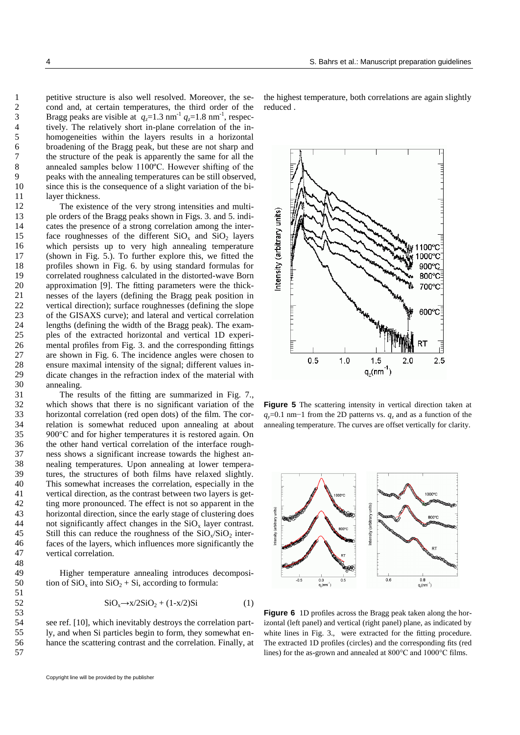petitive structure is also well resolved. Moreover, the second and, at certain temperatures, the third order of the Bragg peaks are visible at  $q_z=1.3$  nm<sup>-1</sup>  $q_z=1.8$  nm<sup>-1</sup>, respectively. The relatively short in-plane correlation of the inhomogeneities within the layers results in a horizontal broadening of the Bragg peak, but these are not sharp and the structure of the peak is apparently the same for all the annealed samples below 1100ºC. However shifting of the peaks with the annealing temperatures can be still observed, since this is the consequence of a slight variation of the bilayer thickness.

The existence of the very strong intensities and multiple orders of the Bragg peaks shown in Figs. 3. and 5. indicates the presence of a strong correlation among the interface roughnesses of the different  $SiO_x$  and  $SiO_2$  layers which persists up to very high annealing temperature (shown in Fig. 5.). To further explore this, we fitted the profiles shown in Fig. 6. by using standard formulas for correlated roughness calculated in the distorted-wave Born approximation [9]. The fitting parameters were the thicknesses of the layers (defining the Bragg peak position in vertical direction); surface roughnesses (defining the slope of the GISAXS curve); and lateral and vertical correlation lengths (defining the width of the Bragg peak). The examples of the extracted horizontal and vertical 1D experimental profiles from Fig. 3. and the corresponding fittings are shown in Fig. 6. The incidence angles were chosen to ensure maximal intensity of the signal; different values indicate changes in the refraction index of the material with annealing.

The results of the fitting are summarized in Fig. 7., which shows that there is no significant variation of the horizontal correlation (red open dots) of the film. The correlation is somewhat reduced upon annealing at about 900°C and for higher temperatures it is restored again. On the other hand vertical correlation of the interface roughness shows a significant increase towards the highest annealing temperatures. Upon annealing at lower temperatures, the structures of both films have relaxed slightly. This somewhat increases the correlation, especially in the vertical direction, as the contrast between two layers is getting more pronounced. The effect is not so apparent in the horizontal direction, since the early stage of clustering does not significantly affect changes in the  $SiO_x$  layer contrast. Still this can reduce the roughness of the  $SiO_x/SiO_2$  interfaces of the layers, which influences more significantly the vertical correlation.

Higher temperature annealing introduces decomposition of  $SiO_x$  into  $SiO_2 + Si$ , according to formula:

$$
SiO_x \rightarrow x/2SiO_2 + (1-x/2)Si
$$
 (1)

see ref. [10], which inevitably destroys the correlation partly, and when Si particles begin to form, they somewhat enhance the scattering contrast and the correlation. Finally, at

Copyright line will be provided by the publisher

the highest temperature, both correlations are again slightly reduced .



**Figure 5** The scattering intensity in vertical direction taken at *q*<sub>*y*</sub>=0.1 nm−1 from the 2D patterns vs. *q*<sub>*z*</sub> and as a function of the annealing temperature. The curves are offset vertically for clarity.



**Figure 6** 1D profiles across the Bragg peak taken along the horizontal (left panel) and vertical (right panel) plane, as indicated by white lines in Fig. 3., were extracted for the fitting procedure. The extracted 1D profiles (circles) and the corresponding fits (red lines) for the as-grown and annealed at 800°C and 1000°C films.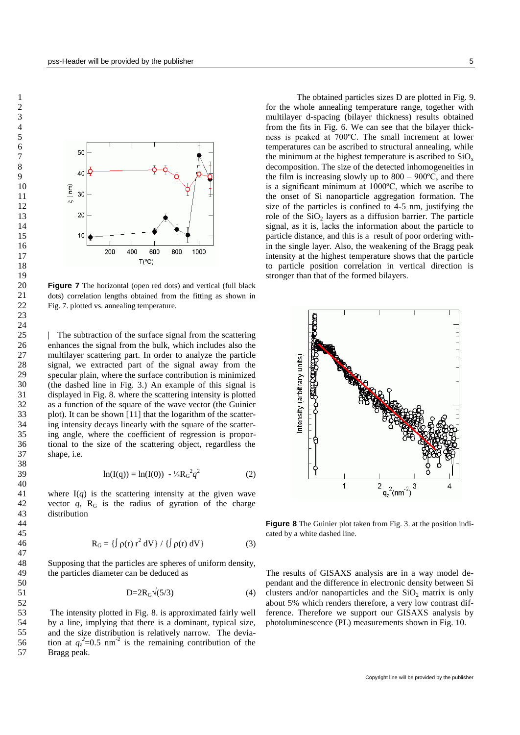

**Figure 7** The horizontal (open red dots) and vertical (full black dots) correlation lengths obtained from the fitting as shown in Fig. 7. plotted vs. annealing temperature.

| The subtraction of the surface signal from the scattering enhances the signal from the bulk, which includes also the multilayer scattering part. In order to analyze the particle signal, we extracted part of the signal away from the specular plain, where the surface contribution is minimized (the dashed line in Fig. 3.) An example of this signal is displayed in Fig. 8. where the scattering intensity is plotted as a function of the square of the wave vector (the Guinier plot). It can be shown [11] that the logarithm of the scattering intensity decays linearly with the square of the scattering angle, where the coefficient of regression is proportional to the size of the scattering object, regardless the shape, i.e.

$$
\ln(I(q)) = \ln(I(0)) - \frac{1}{3}R_G^2 q^2 \tag{2}
$$

where  $I(q)$  is the scattering intensity at the given wave vector  $q$ ,  $R<sub>G</sub>$  is the radius of gyration of the charge distribution

$$
R_G = \{ \int \rho(r) r^2 dV \} / \{ \int \rho(r) dV \}
$$
 (3)

Supposing that the particles are spheres of uniform density, the particles diameter can be deduced as

$$
D=2R_G\sqrt{(5/3)}\tag{4}
$$

The intensity plotted in Fig. 8. is approximated fairly well by a line, implying that there is a dominant, typical size, and the size distribution is relatively narrow. The deviation at  $q_z^2$ =0.5 nm<sup>-2</sup> is the remaining contribution of the Bragg peak.

The obtained particles sizes D are plotted in Fig. 9. for the whole annealing temperature range, together with multilayer d-spacing (bilayer thickness) results obtained from the fits in Fig. 6. We can see that the bilayer thickness is peaked at 700ºC. The small increment at lower temperatures can be ascribed to structural annealing, while the minimum at the highest temperature is ascribed to  $SiO_x$ decomposition. The size of the detected inhomogeneities in the film is increasing slowly up to  $800 - 900^{\circ}$ C, and there is a significant minimum at 1000ºC, which we ascribe to the onset of Si nanoparticle aggregation formation. The size of the particles is confined to 4-5 nm, justifying the role of the  $SiO<sub>2</sub>$  layers as a diffusion barrier. The particle signal, as it is, lacks the information about the particle to particle distance, and this is a result of poor ordering within the single layer. Also, the weakening of the Bragg peak intensity at the highest temperature shows that the particle to particle position correlation in vertical direction is stronger than that of the formed bilayers.



**Figure 8** The Guinier plot taken from Fig. 3. at the position indicated by a white dashed line.

The results of GISAXS analysis are in a way model dependant and the difference in electronic density between Si clusters and/or nanoparticles and the  $SiO<sub>2</sub>$  matrix is only about 5% which renders therefore, a very low contrast difference. Therefore we support our GISAXS analysis by photoluminescence (PL) measurements shown in Fig. 10.